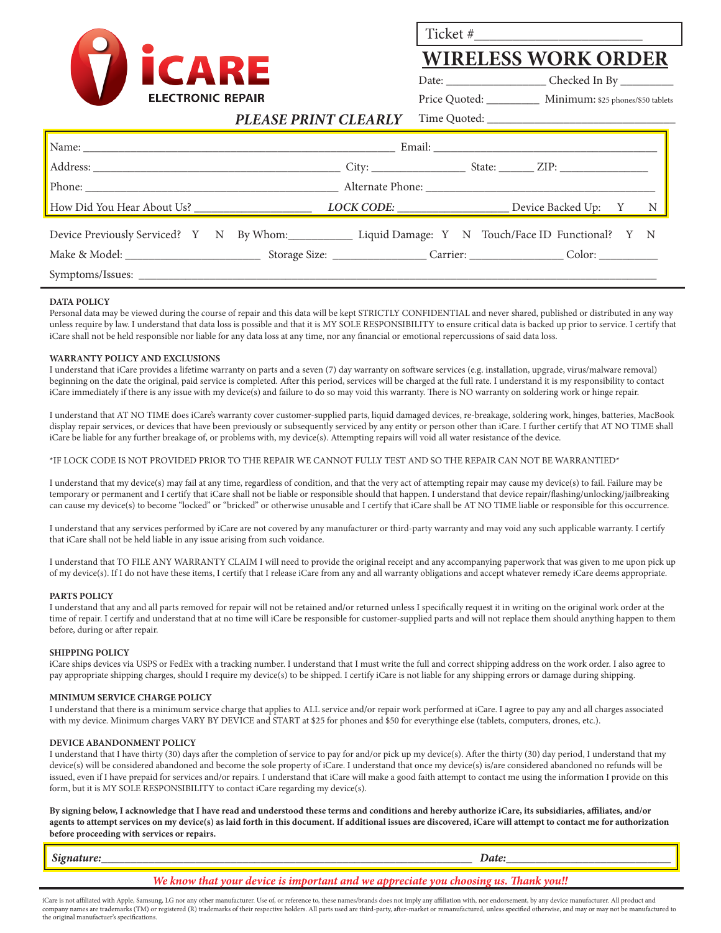

Ticket #\_\_\_\_\_\_\_\_\_\_\_\_\_\_\_\_\_\_\_\_\_\_

## **WIRELESS WORK ORDER**

Date: Checked In By

Price Quoted: \_\_\_\_\_\_\_\_\_\_ Minimum: \$25 phones/\$50 tablets

#### *PLEASE PRINT CLEARLY* Time Quoted:

| Device Previously Serviced? Y N By Whom: Liquid Damage: Y N Touch/Face ID Functional? Y N |  |  |  |  |  |  |  |
|-------------------------------------------------------------------------------------------|--|--|--|--|--|--|--|
|                                                                                           |  |  |  |  |  |  |  |
|                                                                                           |  |  |  |  |  |  |  |

#### **DATA POLICY**

Personal data may be viewed during the course of repair and this data will be kept STRICTLY CONFIDENTIAL and never shared, published or distributed in any way unless require by law. I understand that data loss is possible and that it is MY SOLE RESPONSIBILITY to ensure critical data is backed up prior to service. I certify that iCare shall not be held responsible nor liable for any data loss at any time, nor any financial or emotional repercussions of said data loss.

#### **WARRANTY POLICY AND EXCLUSIONS**

I understand that iCare provides a lifetime warranty on parts and a seven (7) day warranty on software services (e.g. installation, upgrade, virus/malware removal) beginning on the date the original, paid service is completed. After this period, services will be charged at the full rate. I understand it is my responsibility to contact iCare immediately if there is any issue with my device(s) and failure to do so may void this warranty. There is NO warranty on soldering work or hinge repair.

I understand that AT NO TIME does iCare's warranty cover customer-supplied parts, liquid damaged devices, re-breakage, soldering work, hinges, batteries, MacBook display repair services, or devices that have been previously or subsequently serviced by any entity or person other than iCare. I further certify that AT NO TIME shall iCare be liable for any further breakage of, or problems with, my device(s). Attempting repairs will void all water resistance of the device.

### \*IF LOCK CODE IS NOT PROVIDED PRIOR TO THE REPAIR WE CANNOT FULLY TEST AND SO THE REPAIR CAN NOT BE WARRANTIED\*

I understand that my device(s) may fail at any time, regardless of condition, and that the very act of attempting repair may cause my device(s) to fail. Failure may be temporary or permanent and I certify that iCare shall not be liable or responsible should that happen. I understand that device repair/flashing/unlocking/jailbreaking can cause my device(s) to become "locked" or "bricked" or otherwise unusable and I certify that iCare shall be AT NO TIME liable or responsible for this occurrence.

I understand that any services performed by iCare are not covered by any manufacturer or third-party warranty and may void any such applicable warranty. I certify that iCare shall not be held liable in any issue arising from such voidance.

I understand that TO FILE ANY WARRANTY CLAIM I will need to provide the original receipt and any accompanying paperwork that was given to me upon pick up of my device(s). If I do not have these items, I certify that I release iCare from any and all warranty obligations and accept whatever remedy iCare deems appropriate.

#### **PARTS POLICY**

I understand that any and all parts removed for repair will not be retained and/or returned unless I specifically request it in writing on the original work order at the time of repair. I certify and understand that at no time will iCare be responsible for customer-supplied parts and will not replace them should anything happen to them before, during or after repair.

#### **SHIPPING POLICY**

iCare ships devices via USPS or FedEx with a tracking number. I understand that I must write the full and correct shipping address on the work order. I also agree to pay appropriate shipping charges, should I require my device(s) to be shipped. I certify iCare is not liable for any shipping errors or damage during shipping.

#### **MINIMUM SERVICE CHARGE POLICY**

I understand that there is a minimum service charge that applies to ALL service and/or repair work performed at iCare. I agree to pay any and all charges associated with my device. Minimum charges VARY BY DEVICE and START at \$25 for phones and \$50 for everythinge else (tablets, computers, drones, etc.).

#### **DEVICE ABANDONMENT POLICY**

I understand that I have thirty (30) days after the completion of service to pay for and/or pick up my device(s). After the thirty (30) day period, I understand that my device(s) will be considered abandoned and become the sole property of iCare. I understand that once my device(s) is/are considered abandoned no refunds will be issued, even if I have prepaid for services and/or repairs. I understand that iCare will make a good faith attempt to contact me using the information I provide on this form, but it is MY SOLE RESPONSIBILITY to contact iCare regarding my device(s).

**By signing below, I acknowledge that I have read and understood these terms and conditions and hereby authorize iCare, its subsidiaries, affiliates, and/or agents to attempt services on my device(s) as laid forth in this document. If additional issues are discovered, iCare will attempt to contact me for authorization before proceeding with services or repairs.**

iCare is not affiliated with Apple, Samsung, LG nor any other manufacturer. Use of, or reference to, these names/brands does not imply any affiliation with, nor endorsement, by any device manufacturer. All product and<br>comp the original manufactuer's specifications.